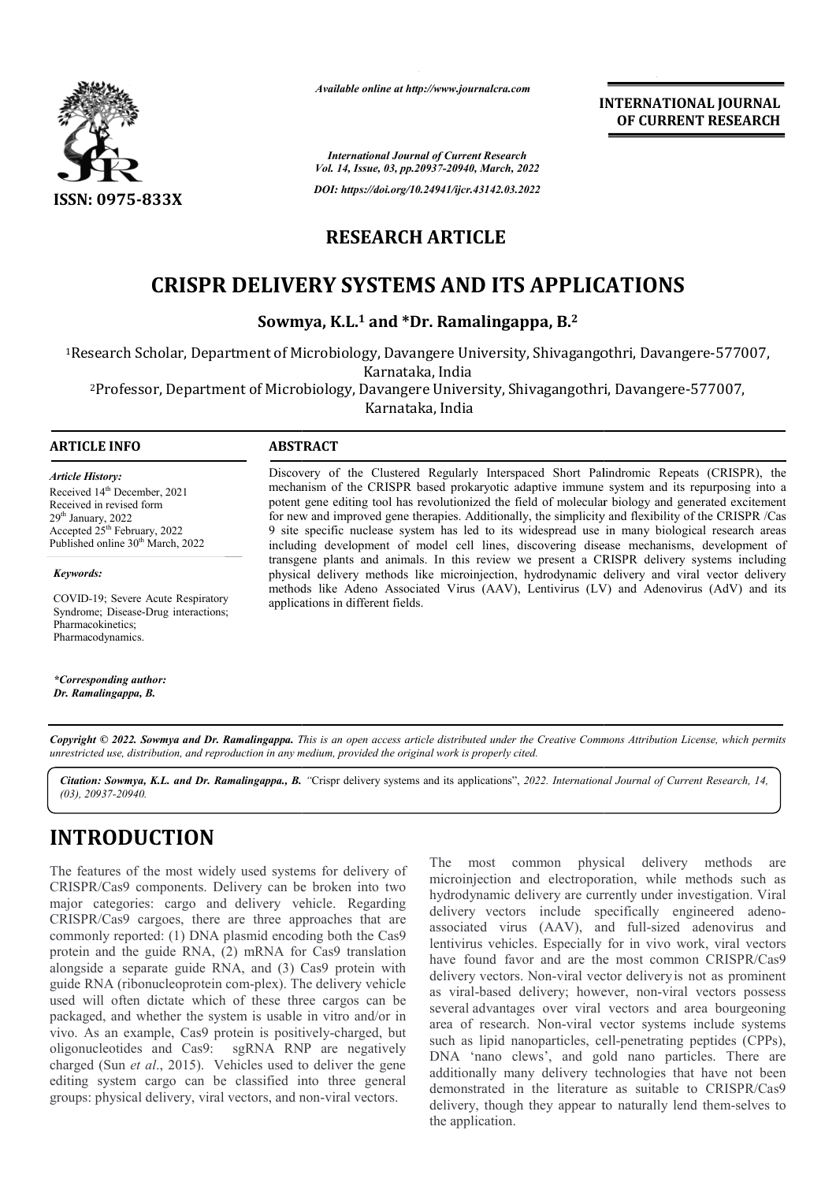

*Available online at http://www.journalcra.com*

*International Journal of Current Research Vol. 14, Issue, 03, pp.20937-20940, March, 2022*

*DOI: https://doi.org/10.24941/ijcr.43142.03.2022*

### **RESEARCH ARTICLE**

# **CRISPR DELIVERY SYSTEMS AND ITS APPLICATIONS**

**Sowmya, K.L. K.L.1 and \*Dr. Ramalingappa, B.2**

<sup>1</sup>Research Scholar, Department of Microbiology, Davangere University, Shivagangothri, Davangere-577007,<br>Karnataka, India

<sup>2</sup>Professor, Department of Microbiology, Davangere University, Shivagangothri, Davangere-577007,

Karnataka, India

#### **ARTICLE INFO ABSTRACT**

*Article History:* Received 14<sup>th</sup> December, 2021 Received in revised form 29th January, 2022 Accepted 25<sup>th</sup> February, 2022 Published online 30<sup>th</sup> March, 2022

*Keywords: Keywords:*

COVID-19; Severe Acute Respiratory Syndrome; Disease-Drug interactions; Pharmacodynamics. Pharmacokinetics;

*\*Corresponding author: Dr. Ramalingappa, B.*

Discovery of the Clustered Regularly Interspaced Short Palindromic Repeats (CRISPR), the mechanism of the CRISPR based prokaryotic adaptive immune system and its repurposing into a Discovery of the Clustered Regularly Interspaced Short Palindromic Repeats (CRISPR), the mechanism of the CRISPR based prokaryotic adaptive immune system and its repurposing into a potent gene editing tool has revolutioniz for new and improved gene therapies. Additionally, the simplicity and flexibility of the CRISPR /Cas 9 site specific nuclease system has led to its widespread use in many biological research areas including development of model cell lines, discovering disease mechanisms, development of transgene plants and animals. In this review we present a CRISPR delivery systems including physical delivery methods like microinjection, hydrodynamic delivery and viral vector delivery methods like Adeno Associated Virus (AAV), Lentivirus (LV) and Adenovirus (AdV) and its applications in different fields. for new and improved gene therapies. Additionally, the simplicity and flexibility of the CRISPR /Cas 9 site specific nuclease system has led to its widespread use in many biological research areas including development of

**INTERNATIONAL JOURNAL**

**OF CURRENT RESEARCH**

Copyright © 2022. Sowmya and Dr. Ramalingappa. This is an open access article distributed under the Creative Commons Attribution License, which permits *unrestricted use, distribution, and reproduction in any medium, provided the original work is properly cited.*

Citation: Sowmya, K.L. and Dr. Ramalingappa., B. "Crispr delivery systems and its applications", 2022. International Journal of Current Research, 14, *(03), 20937-20940.*

# **INTRODUCTION**

The features of the most widely used systems for delivery of CRISPR/Cas9 components. Delivery can be broken into two major categories: cargo and delivery vehicle. Regarding CRISPR/Cas9 cargoes, there are three approaches that are commonly reported: (1) DNA plasmid encoding both the Cas9 protein and the guide RNA, (2) mRNA for Cas9 translation alongside a separate guide RNA, and (3) Cas9 protein with guide RNA (ribonucleoprotein com-plex). The delivery vehicle used will often dictate which of these three cargos can be packaged, and whether the system is usable in vitro and/or in guide RNA (ribonucleoprotein com-plex). The delivery vehicle used will often dictate which of these three cargos can be packaged, and whether the system is usable in vitro and/or in vivo. As an example, Cas9 protein is pos oligonucleotides and Cas9: charged (Sun *et al*., 2015). Vehicles used to deliver the gene editing system cargo can be classified into three general groups: physical delivery, viral vectors, and non-viral vectors. sgRNA RNP are negatively

The most common physical delivery methods are microinjection and electroporation, while methods such as hydrodynamic delivery are currently under investigation. Viral delivery vectors include specifically engineered adenoassociated virus (AAV), and full (AAV), and full-sized adenovirus and lentivirus vehicles. Especially for in vivo work, viral vectors lentivirus vehicles. Especially for in vivo work, viral vectors<br>have found favor and are the most common CRISPR/Cas9 delivery vectors. Non-viral vector deliveryis not as prominent as viral-based delivery; however, non-viral vectors possess several advantages over viral vectors and area bourgeoning area of research. Non-viral vector systems include systems such as lipid nanoparticles, cell-penetrating peptides (CPPs), DNA 'nano clews', and gold nano particles. There are additionally many delivery technologies that have not been demonstrated in the literature as suitable to CRISPR/Cas9 delivery, though they appear to naturally lend them-selves to the application.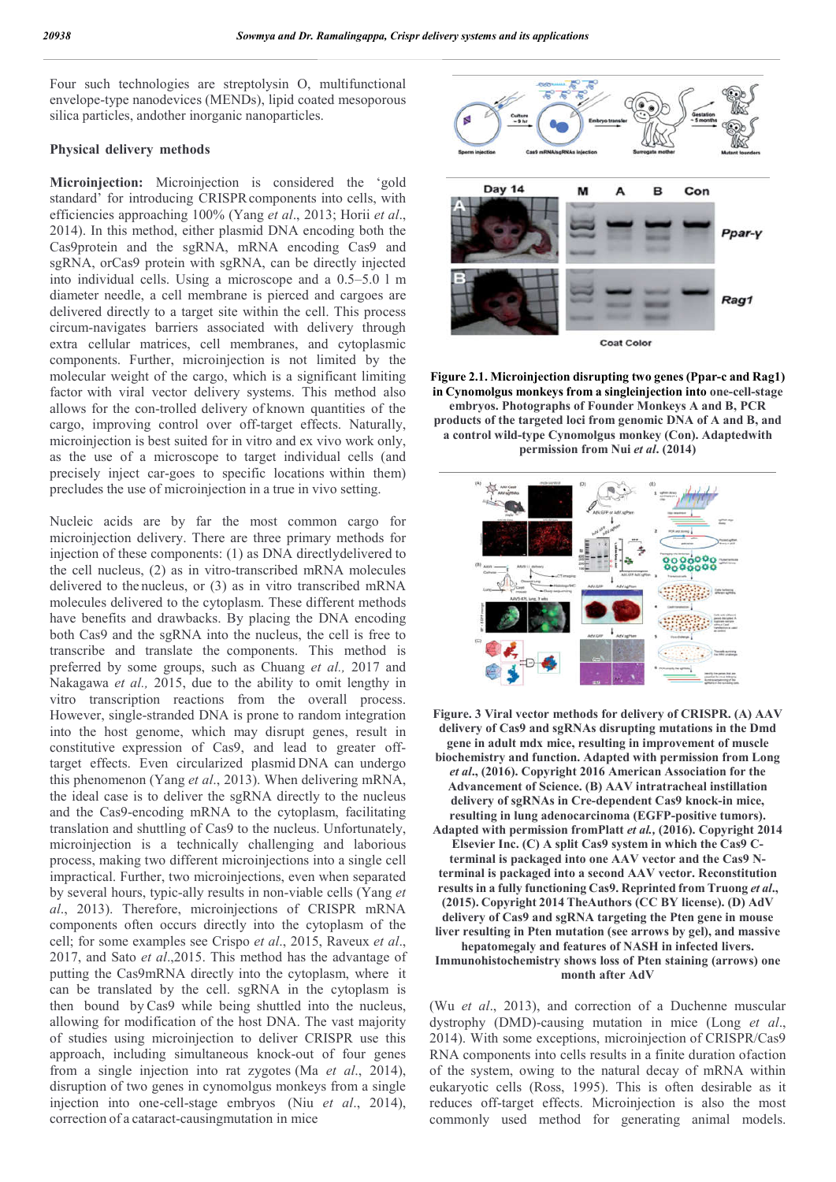Four such technologies are streptolysin O, multifunctional envelope-type nanodevices (MENDs), lipid coated mesoporous silica particles, andother inorganic nanoparticles.

#### **Physical delivery methods**

**Microinjection:** Microinjection is considered the 'gold standard' for introducing CRISPRcomponents into cells, with efficiencies approaching 100% (Yang *et al*., 2013; Horii *et al*., 2014). In this method, either plasmid DNA encoding both the Cas9protein and the sgRNA, mRNA encoding Cas9 and sgRNA, orCas9 protein with sgRNA, can be directly injected into individual cells. Using a microscope and a 0.5–5.0 l m diameter needle, a cell membrane is pierced and cargoes are delivered directly to a target site within the cell. This process circum-navigates barriers associated with delivery through extra cellular matrices, cell membranes, and cytoplasmic components. Further, microinjection is not limited by the molecular weight of the cargo, which is a significant limiting factor with viral vector delivery systems. This method also allows for the con-trolled delivery of known quantities of the cargo, improving control over off-target effects. Naturally, microinjection is best suited for in vitro and ex vivo work only, as the use of a microscope to target individual cells (and precisely inject car-goes to specific locations within them) precludes the use of microinjection in a true in vivo setting.

Nucleic acids are by far the most common cargo for microinjection delivery. There are three primary methods for injection of these components: (1) as DNA directlydelivered to the cell nucleus, (2) as in vitro-transcribed mRNA molecules delivered to the nucleus, or (3) as in vitro transcribed mRNA molecules delivered to the cytoplasm. These different methods have benefits and drawbacks. By placing the DNA encoding both Cas9 and the sgRNA into the nucleus, the cell is free to transcribe and translate the components. This method is preferred by some groups, such as Chuang *et al.,* 2017 and Nakagawa *et al.,* 2015, due to the ability to omit lengthy in vitro transcription reactions from the overall process. However, single-stranded DNA is prone to random integration into the host genome, which may disrupt genes, result in constitutive expression of Cas9, and lead to greater offtarget effects. Even circularized plasmid DNA can undergo this phenomenon (Yang *et al*., 2013). When delivering mRNA, the ideal case is to deliver the sgRNA directly to the nucleus and the Cas9-encoding mRNA to the cytoplasm, facilitating translation and shuttling of Cas9 to the nucleus. Unfortunately, microinjection is a technically challenging and laborious process, making two different microinjections into a single cell impractical. Further, two microinjections, even when separated by several hours, typic-ally results in non-viable cells (Yang *et al*., 2013). Therefore, microinjections of CRISPR mRNA components often occurs directly into the cytoplasm of the cell; for some examples see Crispo *et al*., 2015, Raveux *et al*., 2017, and Sato *et al*.,2015. This method has the advantage of putting the Cas9mRNA directly into the cytoplasm, where it can be translated by the cell. sgRNA in the cytoplasm is then bound by Cas9 while being shuttled into the nucleus, allowing for modification of the host DNA. The vast majority of studies using microinjection to deliver CRISPR use this approach, including simultaneous knock-out of four genes from a single injection into rat zygotes (Ma *et al*., 2014), disruption of two genes in cynomolgus monkeys from a single injection into one-cell-stage embryos (Niu *et al*., 2014), correction of a cataract-causingmutation in mice



**Figure 2.1. Microinjection disrupting two genes (Ppar-c and Rag1) in Cynomolgus monkeys from a singleinjection into one-cell-stage embryos. Photographs of Founder Monkeys A and B, PCR products of the targeted loci from genomic DNA of A and B, and a control wild-type Cynomolgus monkey (Con). Adaptedwith permission from Nui** *et al***. (2014)**



**Figure. 3 Viral vector methods for delivery of CRISPR. (A) AAV delivery of Cas9 and sgRNAs disrupting mutations in the Dmd gene in adult mdx mice, resulting in improvement of muscle biochemistry and function. Adapted with permission from Long**  *et al***., (2016). Copyright 2016 American Association for the Advancement of Science. (B) AAV intratracheal instillation delivery of sgRNAs in Cre-dependent Cas9 knock-in mice, resulting in lung adenocarcinoma (EGFP-positive tumors). Adapted with permission fromPlatt** *et al.,* **(2016). Copyright 2014 Elsevier Inc. (C) A split Cas9 system in which the Cas9 Cterminal is packaged into one AAV vector and the Cas9 Nterminal is packaged into a second AAV vector. Reconstitution results in a fully functioning Cas9. Reprinted from Truong** *et al***., (2015). Copyright 2014 TheAuthors (CC BY license). (D) AdV delivery of Cas9 and sgRNA targeting the Pten gene in mouse liver resulting in Pten mutation (see arrows by gel), and massive hepatomegaly and features of NASH in infected livers. Immunohistochemistry shows loss of Pten staining (arrows) one month after AdV**

(Wu *et al*., 2013), and correction of a Duchenne muscular dystrophy (DMD)-causing mutation in mice (Long *et al*., 2014). With some exceptions, microinjection of CRISPR/Cas9 RNA components into cells results in a finite duration ofaction of the system, owing to the natural decay of mRNA within eukaryotic cells (Ross, 1995). This is often desirable as it reduces off-target effects. Microinjection is also the most commonly used method for generating animal models.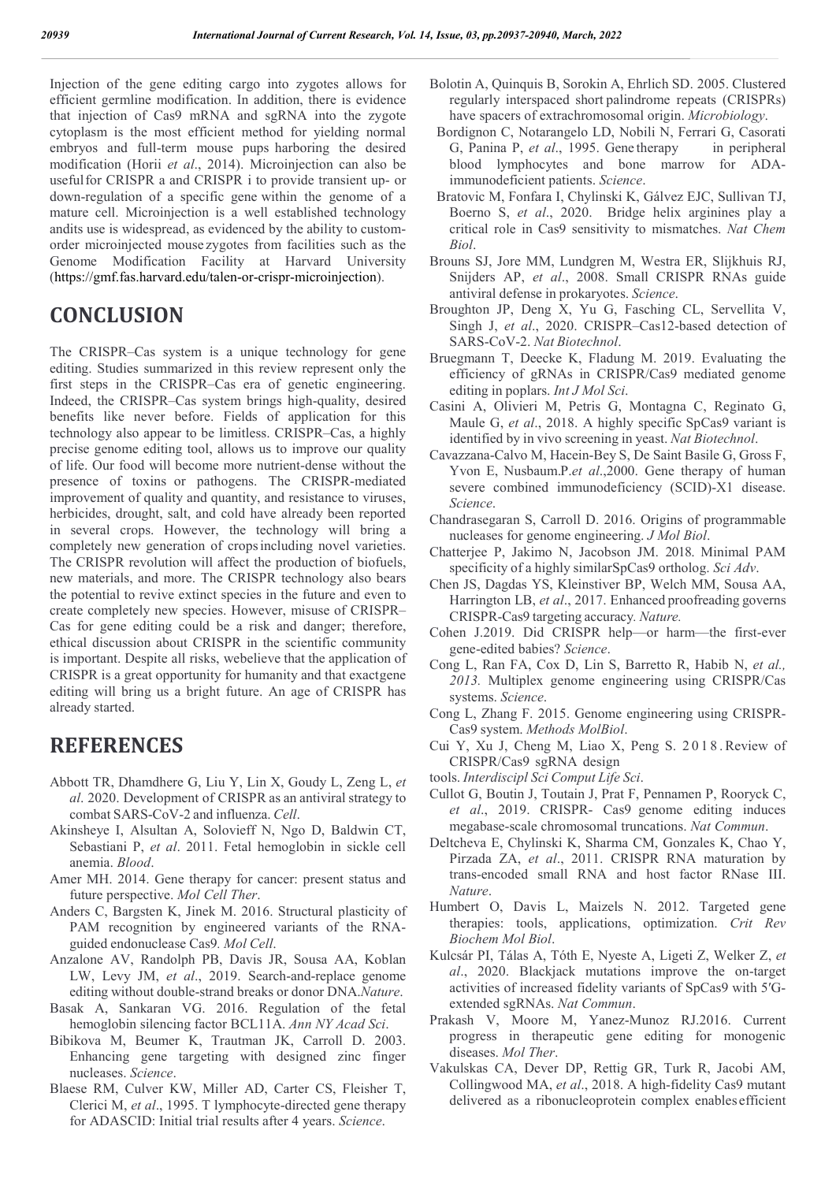Injection of the gene editing cargo into zygotes allows for efficient germline modification. In addition, there is evidence that injection of Cas9 mRNA and sgRNA into the zygote cytoplasm is the most efficient method for yielding normal embryos and full-term mouse pups harboring the desired modification (Horii *et al*., 2014). Microinjection can also be usefulfor CRISPR a and CRISPR i to provide transient up- or down-regulation of a specific gene within the genome of a mature cell. Microinjection is a well established technology andits use is widespread, as evidenced by the ability to customorder microinjected mouse zygotes from facilities such as the Genome Modification Facility at Harvard University (https://gmf.fas.harvard.edu/talen-or-crispr-microinjection).

## **CONCLUSION**

The CRISPR–Cas system is a unique technology for gene editing. Studies summarized in this review represent only the first steps in the CRISPR–Cas era of genetic engineering. Indeed, the CRISPR–Cas system brings high-quality, desired benefits like never before. Fields of application for this technology also appear to be limitless. CRISPR–Cas, a highly precise genome editing tool, allows us to improve our quality of life. Our food will become more nutrient-dense without the presence of toxins or pathogens. The CRISPR-mediated improvement of quality and quantity, and resistance to viruses, herbicides, drought, salt, and cold have already been reported in several crops. However, the technology will bring a completely new generation of cropsincluding novel varieties. The CRISPR revolution will affect the production of biofuels, new materials, and more. The CRISPR technology also bears the potential to revive extinct species in the future and even to create completely new species. However, misuse of CRISPR– Cas for gene editing could be a risk and danger; therefore, ethical discussion about CRISPR in the scientific community is important. Despite all risks, webelieve that the application of CRISPR is a great opportunity for humanity and that exactgene editing will bring us a bright future. An age of CRISPR has already started.

## **REFERENCES**

- Abbott TR, Dhamdhere G, Liu Y, Lin X, Goudy L, Zeng L, *et al*. 2020. Development of CRISPR as an antiviral strategy to combat SARS-CoV-2 and influenza. *Cell*.
- Akinsheye I, Alsultan A, Solovieff N, Ngo D, Baldwin CT, Sebastiani P, *et al*. 2011. Fetal hemoglobin in sickle cell anemia. *Blood*.
- Amer MH. 2014. Gene therapy for cancer: present status and future perspective. *Mol Cell Ther*.
- Anders C, Bargsten K, Jinek M. 2016. Structural plasticity of PAM recognition by engineered variants of the RNAguided endonuclease Cas9*. Mol Cell*.
- Anzalone AV, Randolph PB, Davis JR, Sousa AA, Koblan LW, Levy JM, *et al*., 2019. Search-and-replace genome editing without double-strand breaks or donor DNA.*Nature*.
- Basak A, Sankaran VG. 2016. Regulation of the fetal hemoglobin silencing factor BCL11A. *Ann NY Acad Sci*.
- Bibikova M, Beumer K, Trautman JK, Carroll D. 2003. Enhancing gene targeting with designed zinc finger nucleases. *Science*.
- Blaese RM, Culver KW, Miller AD, Carter CS, Fleisher T, Clerici M, *et al*., 1995. T lymphocyte-directed gene therapy for ADASCID: Initial trial results after 4 years. *Science*.
- Bolotin A, Quinquis B, Sorokin A, Ehrlich SD. 2005. Clustered regularly interspaced short palindrome repeats (CRISPRs) have spacers of extrachromosomal origin. *Microbiology*.
- Bordignon C, Notarangelo LD, Nobili N, Ferrari G, Casorati G, Panina P, *et al*., 1995. Gene therapy in peripheral blood lymphocytes and bone marrow for ADAimmunodeficient patients. *Science*.
- Bratovic M, Fonfara I, Chylinski K, Gálvez EJC, Sullivan TJ, Boerno S, *et al*., 2020. Bridge helix arginines play a critical role in Cas9 sensitivity to mismatches. *Nat Chem Biol*.
- Brouns SJ, Jore MM, Lundgren M, Westra ER, Slijkhuis RJ, Snijders AP, *et al*., 2008. Small CRISPR RNAs guide antiviral defense in prokaryotes. *Science*.
- Broughton JP, Deng X, Yu G, Fasching CL, Servellita V, Singh J, *et al*., 2020. CRISPR–Cas12-based detection of SARS-CoV-2. *Nat Biotechnol*.
- Bruegmann T, Deecke K, Fladung M. 2019. Evaluating the efficiency of gRNAs in CRISPR/Cas9 mediated genome editing in poplars. *Int J Mol Sci*.
- Casini A, Olivieri M, Petris G, Montagna C, Reginato G, Maule G, *et al*., 2018. A highly specific SpCas9 variant is identified by in vivo screening in yeast. *Nat Biotechnol*.
- Cavazzana-Calvo M, Hacein-Bey S, De Saint Basile G, Gross F, Yvon E, Nusbaum.P.*et al*.,2000. Gene therapy of human severe combined immunodeficiency (SCID)-X1 disease. *Science*.
- Chandrasegaran S, Carroll D. 2016. Origins of programmable nucleases for genome engineering. *J Mol Biol*.
- Chatterjee P, Jakimo N, Jacobson JM. 2018. Minimal PAM specificity of a highly similarSpCas9 ortholog. *Sci Adv*.
- Chen JS, Dagdas YS, Kleinstiver BP, Welch MM, Sousa AA, Harrington LB, *et al*., 2017. Enhanced proofreading governs CRISPR-Cas9 targeting accuracy*. Nature.*
- Cohen J.2019. Did CRISPR help—or harm—the first-ever gene-edited babies? *Science*.
- Cong L, Ran FA, Cox D, Lin S, Barretto R, Habib N, *et al., 2013.* Multiplex genome engineering using CRISPR/Cas systems. *Science*.
- Cong L, Zhang F. 2015. Genome engineering using CRISPR-Cas9 system. *Methods MolBiol*.
- Cui Y, Xu J, Cheng M, Liao X, Peng S. 2 0 1 8 .Review of CRISPR/Cas9 sgRNA design
- tools. *Interdiscipl Sci Comput Life Sci*.
- Cullot G, Boutin J, Toutain J, Prat F, Pennamen P, Rooryck C, *et al*., 2019. CRISPR- Cas9 genome editing induces megabase-scale chromosomal truncations. *Nat Commun*.
- Deltcheva E, Chylinski K, Sharma CM, Gonzales K, Chao Y, Pirzada ZA, *et al*., 2011. CRISPR RNA maturation by trans-encoded small RNA and host factor RNase III. *Nature*.
- Humbert O, Davis L, Maizels N. 2012. Targeted gene therapies: tools, applications, optimization. *Crit Rev Biochem Mol Biol*.
- Kulcsár PI, Tálas A, Tóth E, Nyeste A, Ligeti Z, Welker Z, *et al*., 2020. Blackjack mutations improve the on-target activities of increased fidelity variants of SpCas9 with 5′Gextended sgRNAs. *Nat Commun*.
- Prakash V, Moore M, Yanez-Munoz RJ.2016. Current progress in therapeutic gene editing for monogenic diseases. *Mol Ther*.
- Vakulskas CA, Dever DP, Rettig GR, Turk R, Jacobi AM, Collingwood MA, *et al*., 2018. A high-fidelity Cas9 mutant delivered as a ribonucleoprotein complex enables efficient